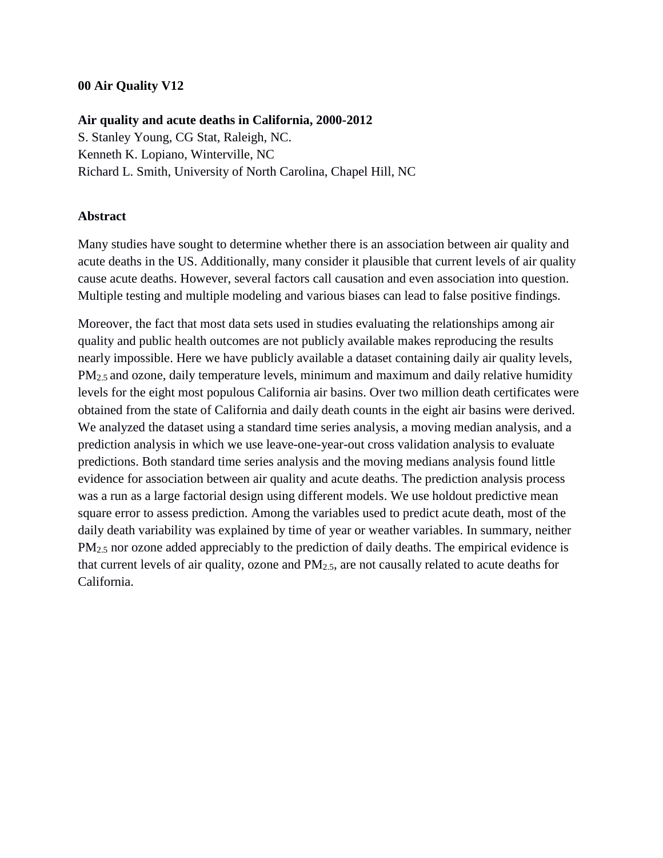### **00 Air Quality V12**

#### **Air quality and acute deaths in California, 2000-2012**

S. Stanley Young, CG Stat, Raleigh, NC. Kenneth K. Lopiano, Winterville, NC Richard L. Smith, University of North Carolina, Chapel Hill, NC

#### **Abstract**

Many studies have sought to determine whether there is an association between air quality and acute deaths in the US. Additionally, many consider it plausible that current levels of air quality cause acute deaths. However, several factors call causation and even association into question. Multiple testing and multiple modeling and various biases can lead to false positive findings.

Moreover, the fact that most data sets used in studies evaluating the relationships among air quality and public health outcomes are not publicly available makes reproducing the results nearly impossible. Here we have publicly available a dataset containing daily air quality levels, PM2.5 and ozone, daily temperature levels, minimum and maximum and daily relative humidity levels for the eight most populous California air basins. Over two million death certificates were obtained from the state of California and daily death counts in the eight air basins were derived. We analyzed the dataset using a standard time series analysis, a moving median analysis, and a prediction analysis in which we use leave-one-year-out cross validation analysis to evaluate predictions. Both standard time series analysis and the moving medians analysis found little evidence for association between air quality and acute deaths. The prediction analysis process was a run as a large factorial design using different models. We use holdout predictive mean square error to assess prediction. Among the variables used to predict acute death, most of the daily death variability was explained by time of year or weather variables. In summary, neither PM<sub>2.5</sub> nor ozone added appreciably to the prediction of daily deaths. The empirical evidence is that current levels of air quality, ozone and PM2.5, are not causally related to acute deaths for California.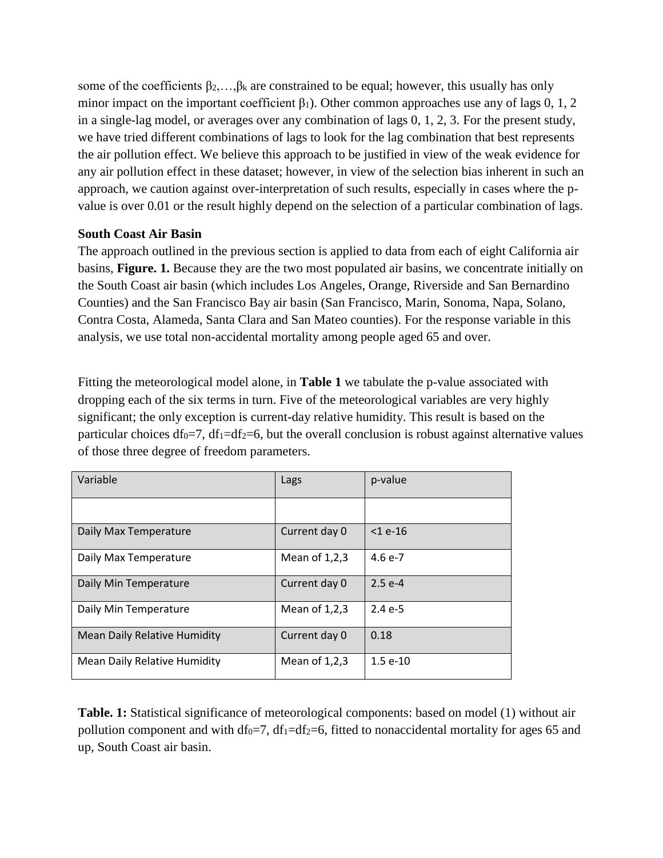some of the coefficients  $\beta_2, \ldots, \beta_k$  are constrained to be equal; however, this usually has only minor impact on the important coefficient  $\beta_1$ ). Other common approaches use any of lags 0, 1, 2 in a single-lag model, or averages over any combination of lags 0, 1, 2, 3. For the present study, we have tried different combinations of lags to look for the lag combination that best represents the air pollution effect. We believe this approach to be justified in view of the weak evidence for any air pollution effect in these dataset; however, in view of the selection bias inherent in such an approach, we caution against over-interpretation of such results, especially in cases where the pvalue is over 0.01 or the result highly depend on the selection of a particular combination of lags.

### **South Coast Air Basin**

The approach outlined in the previous section is applied to data from each of eight California air basins, **Figure. 1.** Because they are the two most populated air basins, we concentrate initially on the South Coast air basin (which includes Los Angeles, Orange, Riverside and San Bernardino Counties) and the San Francisco Bay air basin (San Francisco, Marin, Sonoma, Napa, Solano, Contra Costa, Alameda, Santa Clara and San Mateo counties). For the response variable in this analysis, we use total non-accidental mortality among people aged 65 and over.

Fitting the meteorological model alone, in **Table 1** we tabulate the p-value associated with dropping each of the six terms in turn. Five of the meteorological variables are very highly significant; the only exception is current-day relative humidity. This result is based on the particular choices df<sub>0</sub>=7, df<sub>1</sub>=df<sub>2</sub>=6, but the overall conclusion is robust against alternative values of those three degree of freedom parameters.

| Variable                            | Lags            | p-value       |
|-------------------------------------|-----------------|---------------|
|                                     |                 |               |
| Daily Max Temperature               | Current day 0   | $<$ 1 $e$ -16 |
| Daily Max Temperature               | Mean of $1,2,3$ | $4.6e-7$      |
| Daily Min Temperature               | Current day 0   | $2.5e-4$      |
| Daily Min Temperature               | Mean of $1,2,3$ | $2.4e-5$      |
| <b>Mean Daily Relative Humidity</b> | Current day 0   | 0.18          |
| <b>Mean Daily Relative Humidity</b> | Mean of $1,2,3$ | $1.5e-10$     |

**Table. 1:** Statistical significance of meteorological components: based on model (1) without air pollution component and with df<sub>0</sub>=7, df<sub>1</sub>=df<sub>2</sub>=6, fitted to nonaccidental mortality for ages 65 and up, South Coast air basin.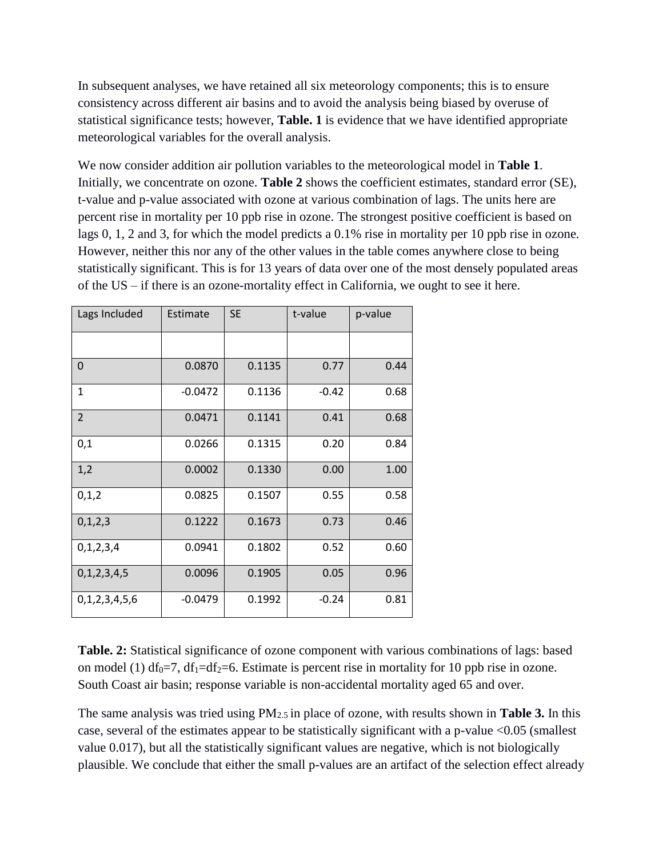In subsequent analyses, we have retained all six meteorology components; this is to ensure consistency across different air basins and to avoid the analysis being biased by overuse of statistical significance tests; however, **Table. 1** is evidence that we have identified appropriate meteorological variables for the overall analysis.

We now consider addition air pollution variables to the meteorological model in **Table 1**. Initially, we concentrate on ozone. **Table 2** shows the coefficient estimates, standard error (SE), t-value and p-value associated with ozone at various combination of lags. The units here are percent rise in mortality per 10 ppb rise in ozone. The strongest positive coefficient is based on lags 0, 1, 2 and 3, for which the model predicts a 0.1% rise in mortality per 10 ppb rise in ozone. However, neither this nor any of the other values in the table comes anywhere close to being statistically significant. This is for 13 years of data over one of the most densely populated areas of the US – if there is an ozone-mortality effect in California, we ought to see it here.

| Lags Included  | Estimate  | <b>SE</b> | t-value | p-value |
|----------------|-----------|-----------|---------|---------|
|                |           |           |         |         |
| 0              | 0.0870    | 0.1135    | 0.77    | 0.44    |
| $\mathbf{1}$   | $-0.0472$ | 0.1136    | $-0.42$ | 0.68    |
| $\overline{2}$ | 0.0471    | 0.1141    | 0.41    | 0.68    |
| 0,1            | 0.0266    | 0.1315    | 0.20    | 0.84    |
| 1,2            | 0.0002    | 0.1330    | 0.00    | 1.00    |
| 0,1,2          | 0.0825    | 0.1507    | 0.55    | 0.58    |
| 0, 1, 2, 3     | 0.1222    | 0.1673    | 0.73    | 0.46    |
| 0,1,2,3,4      | 0.0941    | 0.1802    | 0.52    | 0.60    |
| 0,1,2,3,4,5    | 0.0096    | 0.1905    | 0.05    | 0.96    |
| 0,1,2,3,4,5,6  | $-0.0479$ | 0.1992    | $-0.24$ | 0.81    |

**Table. 2:** Statistical significance of ozone component with various combinations of lags: based on model (1) df<sub>0</sub>=7, df<sub>1</sub>=df<sub>2</sub>=6. Estimate is percent rise in mortality for 10 ppb rise in ozone. South Coast air basin; response variable is non-accidental mortality aged 65 and over.

The same analysis was tried using PM2.5 in place of ozone, with results shown in **Table 3.** In this case, several of the estimates appear to be statistically significant with a p-value <0.05 (smallest value 0.017), but all the statistically significant values are negative, which is not biologically plausible. We conclude that either the small p-values are an artifact of the selection effect already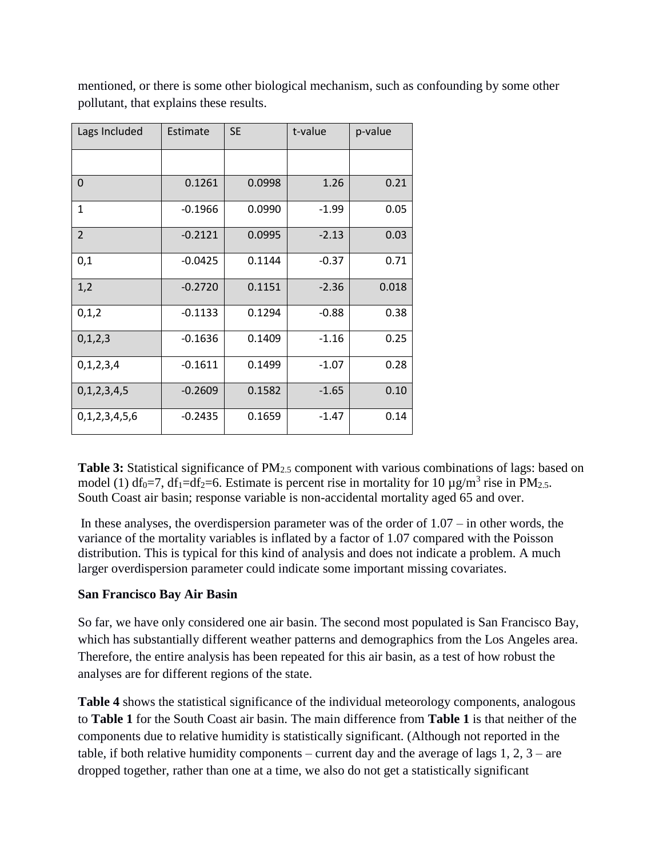| Lags Included  | Estimate  | <b>SE</b> | t-value | p-value |
|----------------|-----------|-----------|---------|---------|
|                |           |           |         |         |
| $\Omega$       | 0.1261    | 0.0998    | 1.26    | 0.21    |
| $\mathbf{1}$   | $-0.1966$ | 0.0990    | $-1.99$ | 0.05    |
| $\overline{2}$ | $-0.2121$ | 0.0995    | $-2.13$ | 0.03    |
| 0,1            | $-0.0425$ | 0.1144    | $-0.37$ | 0.71    |
| 1,2            | $-0.2720$ | 0.1151    | $-2.36$ | 0.018   |
| 0,1,2          | $-0.1133$ | 0.1294    | $-0.88$ | 0.38    |
| 0,1,2,3        | $-0.1636$ | 0.1409    | $-1.16$ | 0.25    |
| 0,1,2,3,4      | $-0.1611$ | 0.1499    | $-1.07$ | 0.28    |
| 0,1,2,3,4,5    | $-0.2609$ | 0.1582    | $-1.65$ | 0.10    |
| 0,1,2,3,4,5,6  | $-0.2435$ | 0.1659    | $-1.47$ | 0.14    |

mentioned, or there is some other biological mechanism, such as confounding by some other pollutant, that explains these results.

**Table 3:** Statistical significance of PM<sub>2.5</sub> component with various combinations of lags: based on model (1) df<sub>0</sub>=7, df<sub>1</sub>=df<sub>2</sub>=6. Estimate is percent rise in mortality for 10  $\mu$ g/m<sup>3</sup> rise in PM<sub>2.5</sub>. South Coast air basin; response variable is non-accidental mortality aged 65 and over.

In these analyses, the overdispersion parameter was of the order of  $1.07 -$  in other words, the variance of the mortality variables is inflated by a factor of 1.07 compared with the Poisson distribution. This is typical for this kind of analysis and does not indicate a problem. A much larger overdispersion parameter could indicate some important missing covariates.

# **San Francisco Bay Air Basin**

So far, we have only considered one air basin. The second most populated is San Francisco Bay, which has substantially different weather patterns and demographics from the Los Angeles area. Therefore, the entire analysis has been repeated for this air basin, as a test of how robust the analyses are for different regions of the state.

**Table 4** shows the statistical significance of the individual meteorology components, analogous to **Table 1** for the South Coast air basin. The main difference from **Table 1** is that neither of the components due to relative humidity is statistically significant. (Although not reported in the table, if both relative humidity components – current day and the average of lags  $1, 2, 3$  – are dropped together, rather than one at a time, we also do not get a statistically significant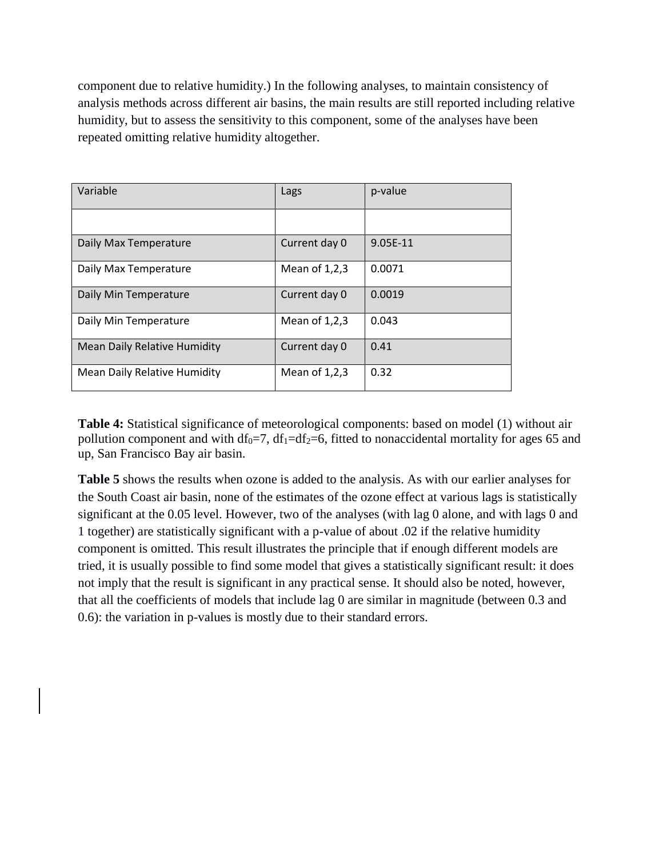component due to relative humidity.) In the following analyses, to maintain consistency of analysis methods across different air basins, the main results are still reported including relative humidity, but to assess the sensitivity to this component, some of the analyses have been repeated omitting relative humidity altogether.

| Variable                            | Lags            | p-value  |
|-------------------------------------|-----------------|----------|
|                                     |                 |          |
| Daily Max Temperature               | Current day 0   | 9.05E-11 |
| Daily Max Temperature               | Mean of $1,2,3$ | 0.0071   |
| Daily Min Temperature               | Current day 0   | 0.0019   |
| Daily Min Temperature               | Mean of $1,2,3$ | 0.043    |
| <b>Mean Daily Relative Humidity</b> | Current day 0   | 0.41     |
| Mean Daily Relative Humidity        | Mean of $1,2,3$ | 0.32     |

**Table 4:** Statistical significance of meteorological components: based on model (1) without air pollution component and with df<sub>0</sub>=7, df<sub>1</sub>=df<sub>2</sub>=6, fitted to nonaccidental mortality for ages 65 and up, San Francisco Bay air basin.

**Table 5** shows the results when ozone is added to the analysis. As with our earlier analyses for the South Coast air basin, none of the estimates of the ozone effect at various lags is statistically significant at the 0.05 level. However, two of the analyses (with lag 0 alone, and with lags 0 and 1 together) are statistically significant with a p-value of about .02 if the relative humidity component is omitted. This result illustrates the principle that if enough different models are tried, it is usually possible to find some model that gives a statistically significant result: it does not imply that the result is significant in any practical sense. It should also be noted, however, that all the coefficients of models that include lag 0 are similar in magnitude (between 0.3 and 0.6): the variation in p-values is mostly due to their standard errors.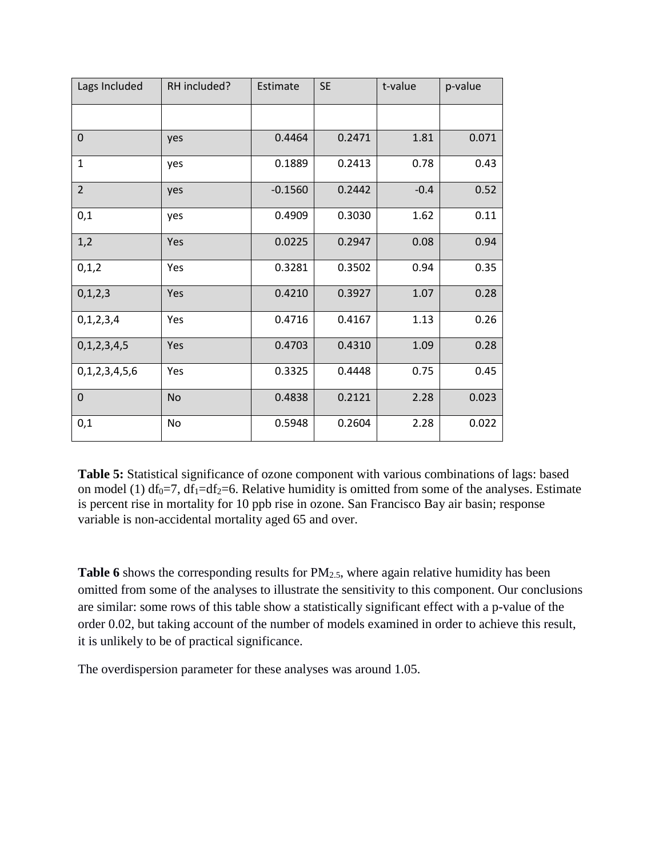| Lags Included  | RH included? | Estimate  | <b>SE</b> | t-value | p-value |
|----------------|--------------|-----------|-----------|---------|---------|
|                |              |           |           |         |         |
| $\overline{0}$ | yes          | 0.4464    | 0.2471    | 1.81    | 0.071   |
| $\mathbf{1}$   | yes          | 0.1889    | 0.2413    | 0.78    | 0.43    |
| $\overline{2}$ | yes          | $-0.1560$ | 0.2442    | $-0.4$  | 0.52    |
| 0,1            | yes          | 0.4909    | 0.3030    | 1.62    | 0.11    |
| 1,2            | Yes          | 0.0225    | 0.2947    | 0.08    | 0.94    |
| 0,1,2          | Yes          | 0.3281    | 0.3502    | 0.94    | 0.35    |
| 0, 1, 2, 3     | Yes          | 0.4210    | 0.3927    | 1.07    | 0.28    |
| 0, 1, 2, 3, 4  | Yes          | 0.4716    | 0.4167    | 1.13    | 0.26    |
| 0,1,2,3,4,5    | Yes          | 0.4703    | 0.4310    | 1.09    | 0.28    |
| 0,1,2,3,4,5,6  | Yes          | 0.3325    | 0.4448    | 0.75    | 0.45    |
| $\mathbf 0$    | <b>No</b>    | 0.4838    | 0.2121    | 2.28    | 0.023   |
| 0,1            | No           | 0.5948    | 0.2604    | 2.28    | 0.022   |

**Table 5:** Statistical significance of ozone component with various combinations of lags: based on model (1) df<sub>0</sub>=7, df<sub>1</sub>=df<sub>2</sub>=6. Relative humidity is omitted from some of the analyses. Estimate is percent rise in mortality for 10 ppb rise in ozone. San Francisco Bay air basin; response variable is non-accidental mortality aged 65 and over.

**Table 6** shows the corresponding results for PM<sub>2.5</sub>, where again relative humidity has been omitted from some of the analyses to illustrate the sensitivity to this component. Our conclusions are similar: some rows of this table show a statistically significant effect with a p-value of the order 0.02, but taking account of the number of models examined in order to achieve this result, it is unlikely to be of practical significance.

The overdispersion parameter for these analyses was around 1.05.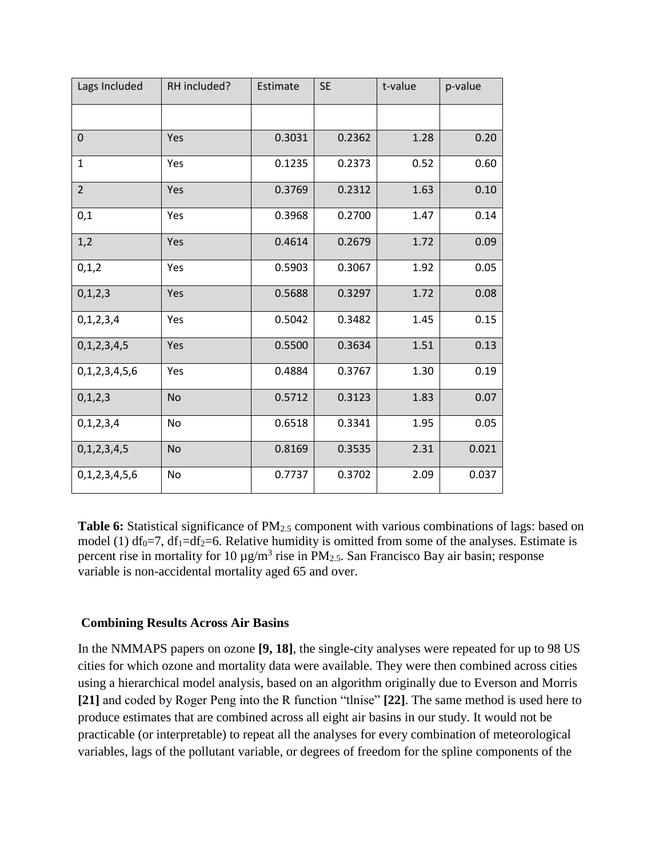| Lags Included  | RH included? | Estimate | <b>SE</b> | t-value | p-value |
|----------------|--------------|----------|-----------|---------|---------|
|                |              |          |           |         |         |
| $\mathbf 0$    | Yes          | 0.3031   | 0.2362    | 1.28    | 0.20    |
| $\mathbf{1}$   | Yes          | 0.1235   | 0.2373    | 0.52    | 0.60    |
| $\overline{2}$ | Yes          | 0.3769   | 0.2312    | 1.63    | 0.10    |
| 0,1            | Yes          | 0.3968   | 0.2700    | 1.47    | 0.14    |
| 1,2            | Yes          | 0.4614   | 0.2679    | 1.72    | 0.09    |
| 0, 1, 2        | Yes          | 0.5903   | 0.3067    | 1.92    | 0.05    |
| 0, 1, 2, 3     | Yes          | 0.5688   | 0.3297    | 1.72    | 0.08    |
| 0, 1, 2, 3, 4  | Yes          | 0.5042   | 0.3482    | 1.45    | 0.15    |
| 0,1,2,3,4,5    | Yes          | 0.5500   | 0.3634    | 1.51    | 0.13    |
| 0,1,2,3,4,5,6  | Yes          | 0.4884   | 0.3767    | 1.30    | 0.19    |
| 0,1,2,3        | <b>No</b>    | 0.5712   | 0.3123    | 1.83    | 0.07    |
| 0, 1, 2, 3, 4  | No           | 0.6518   | 0.3341    | 1.95    | 0.05    |
| 0,1,2,3,4,5    | <b>No</b>    | 0.8169   | 0.3535    | 2.31    | 0.021   |
| 0,1,2,3,4,5,6  | No           | 0.7737   | 0.3702    | 2.09    | 0.037   |

**Table 6:** Statistical significance of PM<sub>2.5</sub> component with various combinations of lags: based on model (1)  $df_0 = 7$ ,  $df_1 = df_2 = 6$ . Relative humidity is omitted from some of the analyses. Estimate is percent rise in mortality for 10  $\mu$ g/m<sup>3</sup> rise in PM<sub>2.5</sub>. San Francisco Bay air basin; response variable is non-accidental mortality aged 65 and over.

### **Combining Results Across Air Basins**

In the NMMAPS papers on ozone **[9, 18]**, the single-city analyses were repeated for up to 98 US cities for which ozone and mortality data were available. They were then combined across cities using a hierarchical model analysis, based on an algorithm originally due to Everson and Morris **[21]** and coded by Roger Peng into the R function "tlnise" **[22]**. The same method is used here to produce estimates that are combined across all eight air basins in our study. It would not be practicable (or interpretable) to repeat all the analyses for every combination of meteorological variables, lags of the pollutant variable, or degrees of freedom for the spline components of the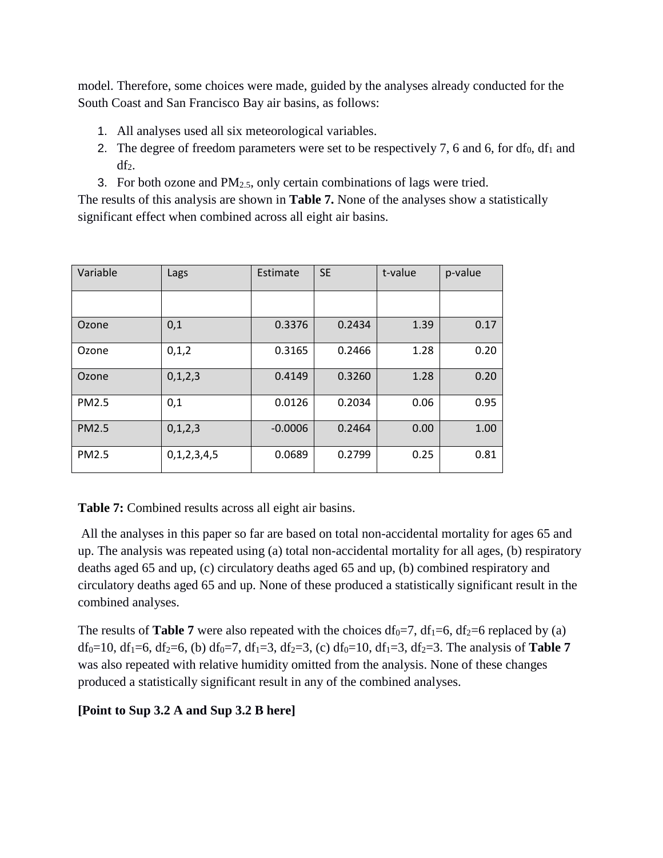model. Therefore, some choices were made, guided by the analyses already conducted for the South Coast and San Francisco Bay air basins, as follows:

- 1. All analyses used all six meteorological variables.
- 2. The degree of freedom parameters were set to be respectively 7, 6 and 6, for  $df_0$ ,  $df_1$  and  $df<sub>2</sub>$ .
- 3. For both ozone and  $PM<sub>2.5</sub>$ , only certain combinations of lags were tried.

The results of this analysis are shown in **Table 7.** None of the analyses show a statistically significant effect when combined across all eight air basins.

| Variable     | Lags        | Estimate  | <b>SE</b> | t-value | p-value |
|--------------|-------------|-----------|-----------|---------|---------|
|              |             |           |           |         |         |
| Ozone        | 0,1         | 0.3376    | 0.2434    | 1.39    | 0.17    |
| Ozone        | 0,1,2       | 0.3165    | 0.2466    | 1.28    | 0.20    |
| Ozone        | 0,1,2,3     | 0.4149    | 0.3260    | 1.28    | 0.20    |
| <b>PM2.5</b> | 0,1         | 0.0126    | 0.2034    | 0.06    | 0.95    |
| <b>PM2.5</b> | 0,1,2,3     | $-0.0006$ | 0.2464    | 0.00    | 1.00    |
| <b>PM2.5</b> | 0,1,2,3,4,5 | 0.0689    | 0.2799    | 0.25    | 0.81    |

**Table 7:** Combined results across all eight air basins.

All the analyses in this paper so far are based on total non-accidental mortality for ages 65 and up. The analysis was repeated using (a) total non-accidental mortality for all ages, (b) respiratory deaths aged 65 and up, (c) circulatory deaths aged 65 and up, (b) combined respiratory and circulatory deaths aged 65 and up. None of these produced a statistically significant result in the combined analyses.

The results of **Table 7** were also repeated with the choices  $df_0 = 7$ ,  $df_1 = 6$ ,  $df_2 = 6$  replaced by (a) df<sub>0</sub>=10, df<sub>1</sub>=6, df<sub>2</sub>=6, (b) df<sub>0</sub>=7, df<sub>1</sub>=3, df<sub>2</sub>=3, (c) df<sub>0</sub>=10, df<sub>1</sub>=3, df<sub>2</sub>=3. The analysis of **Table 7** was also repeated with relative humidity omitted from the analysis. None of these changes produced a statistically significant result in any of the combined analyses.

# **[Point to Sup 3.2 A and Sup 3.2 B here]**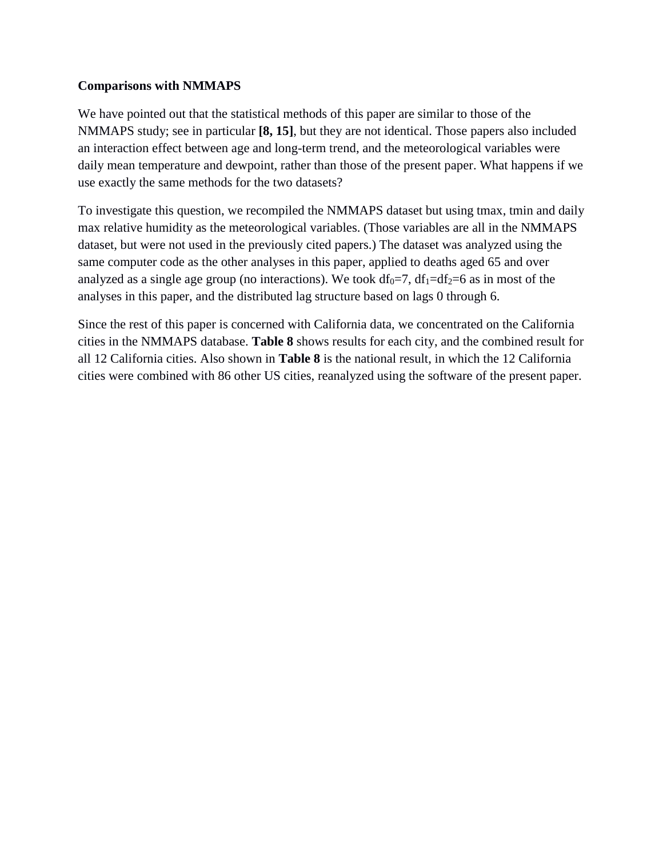## **Comparisons with NMMAPS**

We have pointed out that the statistical methods of this paper are similar to those of the NMMAPS study; see in particular **[8, 15]**, but they are not identical. Those papers also included an interaction effect between age and long-term trend, and the meteorological variables were daily mean temperature and dewpoint, rather than those of the present paper. What happens if we use exactly the same methods for the two datasets?

To investigate this question, we recompiled the NMMAPS dataset but using tmax, tmin and daily max relative humidity as the meteorological variables. (Those variables are all in the NMMAPS dataset, but were not used in the previously cited papers.) The dataset was analyzed using the same computer code as the other analyses in this paper, applied to deaths aged 65 and over analyzed as a single age group (no interactions). We took  $df_0 = 7$ ,  $df_1 = df_2 = 6$  as in most of the analyses in this paper, and the distributed lag structure based on lags 0 through 6.

Since the rest of this paper is concerned with California data, we concentrated on the California cities in the NMMAPS database. **Table 8** shows results for each city, and the combined result for all 12 California cities. Also shown in **Table 8** is the national result, in which the 12 California cities were combined with 86 other US cities, reanalyzed using the software of the present paper.